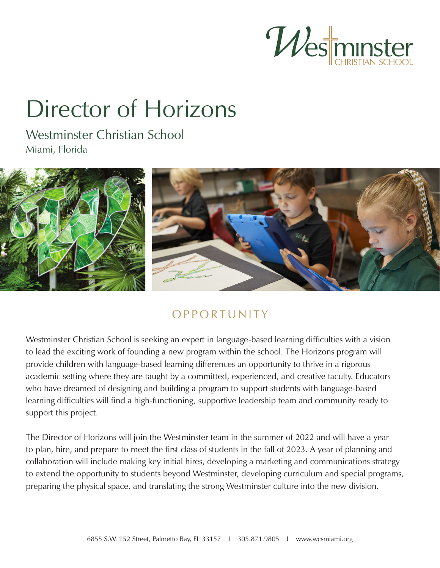

# Director of Horizons

Westminster Christian School Miami, Florida



# **OPPORTUNITY**

Westminster Christian School is seeking an expert in language-based learning difficulties with a vision to lead the exciting work of founding a new program within the school. The Horizons program will provide children with language-based learning differences an opportunity to thrive in a rigorous academic setting where they are taught by a committed, experienced, and creative faculty. Educators who have dreamed of designing and building a program to support students with language-based learning difficulties will find a high-functioning, supportive leadership team and community ready to support this project.

The Director of Horizons will join the Westminster team in the summer of 2022 and will have a year to plan, hire, and prepare to meet the first class of students in the fall of 2023. A year of planning and collaboration will include making key initial hires, developing a marketing and communications strategy to extend the opportunity to students beyond Westminster, developing curriculum and special programs, preparing the physical space, and translating the strong Westminster culture into the new division.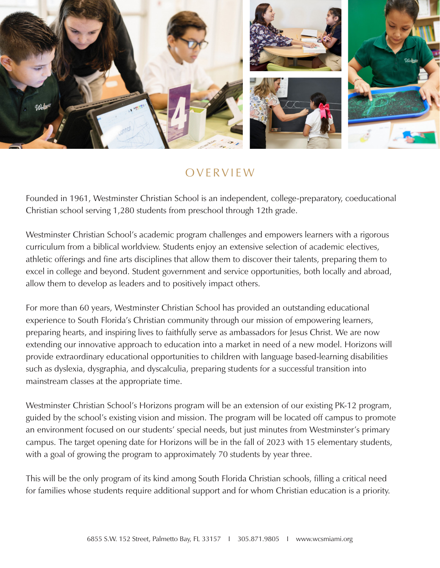

#### OVERVIEW

Founded in 1961, Westminster Christian School is an independent, college-preparatory, coeducational Christian school serving 1,280 students from preschool through 12th grade.

Westminster Christian School's academic program challenges and empowers learners with a rigorous curriculum from a biblical worldview. Students enjoy an extensive selection of academic electives, athletic offerings and fine arts disciplines that allow them to discover their talents, preparing them to excel in college and beyond. Student government and service opportunities, both locally and abroad, allow them to develop as leaders and to positively impact others.

For more than 60 years, Westminster Christian School has provided an outstanding educational experience to South Florida's Christian community through our mission of empowering learners, preparing hearts, and inspiring lives to faithfully serve as ambassadors for Jesus Christ. We are now extending our innovative approach to education into a market in need of a new model. Horizons will provide extraordinary educational opportunities to children with language based-learning disabilities such as dyslexia, dysgraphia, and dyscalculia, preparing students for a successful transition into mainstream classes at the appropriate time.

Westminster Christian School's Horizons program will be an extension of our existing PK-12 program, guided by the school's existing vision and mission. The program will be located off campus to promote an environment focused on our students' special needs, but just minutes from Westminster's primary campus. The target opening date for Horizons will be in the fall of 2023 with 15 elementary students, with a goal of growing the program to approximately 70 students by year three.

This will be the only program of its kind among South Florida Christian schools, filling a critical need for families whose students require additional support and for whom Christian education is a priority.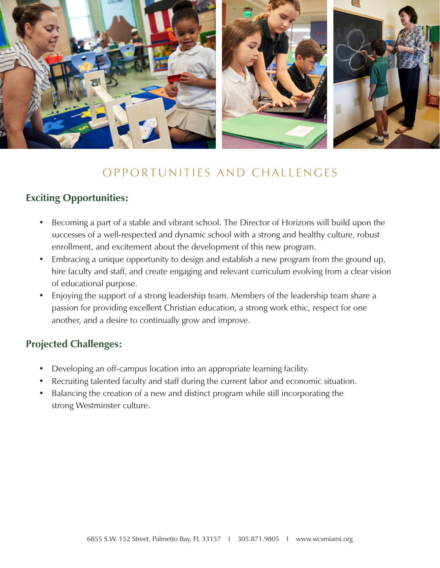

### OPPORTUNITIES AND CHALLENGES

#### **Exciting Opportunities:**

- Becoming a part of a stable and vibrant school. The Director of Horizons will build upon the successes of a well-respected and dynamic school with a strong and healthy culture, robust enrollment, and excitement about the development of this new program.
- Embracing a unique opportunity to design and establish a new program from the ground up, hire faculty and staff, and create engaging and relevant curriculum evolving from a clear vision of educational purpose.
- Enjoying the support of a strong leadership team. Members of the leadership team share a passion for providing excellent Christian education, a strong work ethic, respect for one another, and a desire to continually grow and improve.

#### **Projected Challenges:**

- Developing an off-campus location into an appropriate learning facility.
- Recruiting talented faculty and staff during the current labor and economic situation.
- Balancing the creation of a new and distinct program while still incorporating the strong Westminster culture.